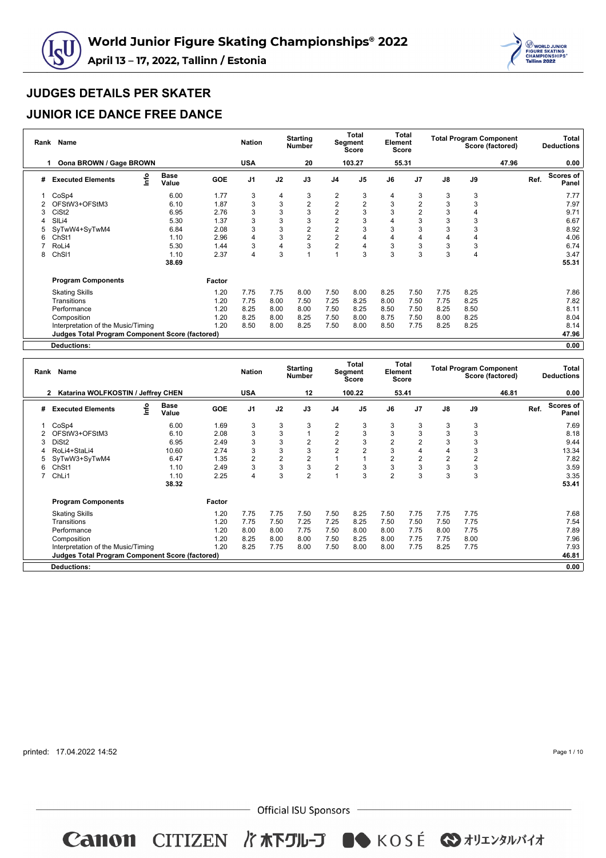



### **JUNIOR ICE DANCE FREE DANCE**

|   | Rank Name                                              |                      |            | <b>Nation</b>  |      | <b>Starting</b><br><b>Number</b> |                | Total<br>Segment<br><b>Score</b> | Element | Total<br><b>Score</b> |               | <b>Total Program Component</b> | Score (factored) |      | Total<br><b>Deductions</b> |
|---|--------------------------------------------------------|----------------------|------------|----------------|------|----------------------------------|----------------|----------------------------------|---------|-----------------------|---------------|--------------------------------|------------------|------|----------------------------|
|   | Oona BROWN / Gage BROWN                                |                      |            | <b>USA</b>     |      | 20                               |                | 103.27                           |         | 55.31                 |               |                                | 47.96            |      | 0.00                       |
| # | lnfo<br><b>Executed Elements</b>                       | <b>Base</b><br>Value | <b>GOE</b> | J <sub>1</sub> | J2   | J3                               | J <sub>4</sub> | J <sub>5</sub>                   | J6      | J <sub>7</sub>        | $\mathsf{J}8$ | J9                             |                  | Ref. | Scores of<br>Panel         |
|   | CoSp4                                                  | 6.00                 | 1.77       | 3              | 4    | 3                                | 2              | 3                                | 4       | 3                     | 3             | 3                              |                  |      | 7.77                       |
|   | OFStW3+OFStM3                                          | 6.10                 | 1.87       | 3              | 3    | $\overline{2}$                   | $\sqrt{2}$     | $\overline{2}$                   | 3       | 2                     | 3             | 3                              |                  |      | 7.97                       |
|   | CiSt <sub>2</sub>                                      | 6.95                 | 2.76       | 3              | 3    | 3                                | $\overline{c}$ | 3                                | 3       | 2                     | 3             | 4                              |                  |      | 9.71                       |
|   | SILi4                                                  | 5.30                 | 1.37       | 3              | 3    | 3                                | $\overline{c}$ |                                  | 4       | 3                     | 3             | 3                              |                  |      | 6.67                       |
|   | SyTwW4+SyTwM4                                          | 6.84                 | 2.08       | 3              | 3    | 2                                | $\overline{2}$ |                                  | 3       | 3                     | 3             | 3                              |                  |      | 8.92                       |
| ี | Ch <sub>St1</sub>                                      | 1.10                 | 2.96       | 4              | 3    | 2                                | $\overline{2}$ |                                  | 4       | 4                     | 4             | 4                              |                  |      | 4.06                       |
|   | RoLi4                                                  | 5.30                 | 1.44       | 3              | 4    | 3                                | $\overline{c}$ |                                  | 3       | 3                     | 3             | 3                              |                  |      | 6.74                       |
| 8 | ChSI1                                                  | 1.10                 | 2.37       | 4              | 3    |                                  |                | 3                                | 3       | 3                     | 3             | 4                              |                  |      | 3.47                       |
|   |                                                        | 38.69                |            |                |      |                                  |                |                                  |         |                       |               |                                |                  |      | 55.31                      |
|   | <b>Program Components</b>                              |                      | Factor     |                |      |                                  |                |                                  |         |                       |               |                                |                  |      |                            |
|   | <b>Skating Skills</b>                                  |                      | 1.20       | 7.75           | 7.75 | 8.00                             | 7.50           | 8.00                             | 8.25    | 7.50                  | 7.75          | 8.25                           |                  |      | 7.86                       |
|   | Transitions                                            |                      | 1.20       | 7.75           | 8.00 | 7.50                             | 7.25           | 8.25                             | 8.00    | 7.50                  | 7.75          | 8.25                           |                  |      | 7.82                       |
|   | Performance                                            |                      | 1.20       | 8.25           | 8.00 | 8.00                             | 7.50           | 8.25                             | 8.50    | 7.50                  | 8.25          | 8.50                           |                  |      | 8.11                       |
|   | Composition                                            |                      | 1.20       | 8.25           | 8.00 | 8.25                             | 7.50           | 8.00                             | 8.75    | 7.50                  | 8.00          | 8.25                           |                  |      | 8.04                       |
|   | Interpretation of the Music/Timing                     |                      | 1.20       | 8.50           | 8.00 | 8.25                             | 7.50           | 8.00                             | 8.50    | 7.75                  | 8.25          | 8.25                           |                  |      | 8.14                       |
|   | <b>Judges Total Program Component Score (factored)</b> |                      |            |                |      |                                  |                |                                  |         |                       |               |                                |                  |      | 47.96                      |
|   | Deductions:                                            |                      |            |                |      |                                  |                |                                  |         |                       |               |                                |                  |      | 0.00                       |

| Rank | <b>Name</b>                                     |      |                      |            | <b>Nation</b>  |                | <b>Starting</b><br><b>Number</b> |                | Total<br>Segment<br>Score | Element        | Total<br>Score |                |                | <b>Total Program Component</b><br>Score (factored) |      | Total<br><b>Deductions</b> |
|------|-------------------------------------------------|------|----------------------|------------|----------------|----------------|----------------------------------|----------------|---------------------------|----------------|----------------|----------------|----------------|----------------------------------------------------|------|----------------------------|
|      | Katarina WOLFKOSTIN / Jeffrey CHEN<br>2         |      |                      |            | <b>USA</b>     |                | 12                               |                | 100.22                    |                | 53.41          |                |                | 46.81                                              |      | 0.00                       |
| #    | <b>Executed Elements</b>                        | lnfo | <b>Base</b><br>Value | <b>GOE</b> | J <sub>1</sub> | J2             | J3                               | J4             | J <sub>5</sub>            | J6             | J <sub>7</sub> | $\mathsf{J}8$  | J9             |                                                    | Ref. | Scores of<br>Panel         |
|      | CoSp4                                           |      | 6.00                 | 1.69       | 3              | 3              | 3                                | 2              | 3                         | 3              | 3              | 3              | 3              |                                                    |      | 7.69                       |
|      | OFStW3+OFStM3                                   |      | 6.10                 | 2.08       | 3              | 3              | 1                                | $\overline{2}$ | 3                         | 3              | 3              | 3              | 3              |                                                    |      | 8.18                       |
|      | DiSt <sub>2</sub>                               |      | 6.95                 | 2.49       | 3              | 3              | $\overline{2}$                   | 2              | 3                         | 2              | 2              | 3              | 3              |                                                    |      | 9.44                       |
|      | RoLi4+StaLi4                                    |      | 10.60                | 2.74       | 3              | 3              | 3                                | 2              | $\overline{2}$            | 3              | 4              | 4              | 3              |                                                    |      | 13.34                      |
|      | SyTwW3+SyTwM4                                   |      | 6.47                 | 1.35       | $\overline{2}$ | $\overline{2}$ | $\overline{2}$                   |                |                           | $\overline{2}$ | $\overline{2}$ | $\overline{2}$ | $\overline{2}$ |                                                    |      | 7.82                       |
| 6    | Ch <sub>St1</sub>                               |      | 1.10                 | 2.49       | 3              | 3              | 3                                | $\overline{2}$ | 3                         | 3              | 3              | 3              | 3              |                                                    |      | 3.59                       |
|      | ChLi1                                           |      | 1.10                 | 2.25       | 4              | 3              | $\overline{2}$                   |                | 3                         | 2              | 3              | 3              | 3              |                                                    |      | 3.35                       |
|      |                                                 |      | 38.32                |            |                |                |                                  |                |                           |                |                |                |                |                                                    |      | 53.41                      |
|      | <b>Program Components</b>                       |      |                      | Factor     |                |                |                                  |                |                           |                |                |                |                |                                                    |      |                            |
|      | <b>Skating Skills</b>                           |      |                      | 1.20       | 7.75           | 7.75           | 7.50                             | 7.50           | 8.25                      | 7.50           | 7.75           | 7.75           | 7.75           |                                                    |      | 7.68                       |
|      | Transitions                                     |      |                      | 1.20       | 7.75           | 7.50           | 7.25                             | 7.25           | 8.25                      | 7.50           | 7.50           | 7.50           | 7.75           |                                                    |      | 7.54                       |
|      | Performance                                     |      |                      | 1.20       | 8.00           | 8.00           | 7.75                             | 7.50           | 8.00                      | 8.00           | 7.75           | 8.00           | 7.75           |                                                    |      | 7.89                       |
|      | Composition                                     |      |                      | 1.20       | 8.25           | 8.00           | 8.00                             | 7.50           | 8.25                      | 8.00           | 7.75           | 7.75           | 8.00           |                                                    |      | 7.96                       |
|      | Interpretation of the Music/Timing              |      |                      | 1.20       | 8.25           | 7.75           | 8.00                             | 7.50           | 8.00                      | 8.00           | 7.75           | 8.25           | 7.75           |                                                    |      | 7.93                       |
|      | Judges Total Program Component Score (factored) |      |                      |            |                |                |                                  |                |                           |                |                |                |                |                                                    |      | 46.81                      |
|      | <b>Deductions:</b>                              |      |                      |            |                |                |                                  |                |                           |                |                |                |                |                                                    |      | 0.00                       |

printed: 17.04.2022 14:52

Page 1 / 10

 $-$  Official ISU Sponsors  $-$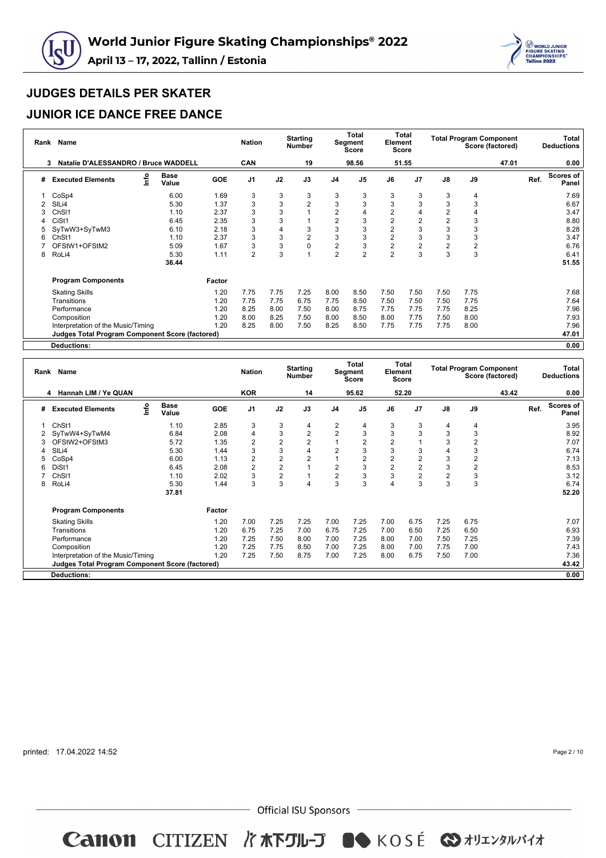



### **JUNIOR ICE DANCE FREE DANCE**

| Rank | Name                                                   |                      |            | <b>Nation</b>  |      | <b>Starting</b><br><b>Number</b> |                | Total<br>Segment<br>Score | Element        | Total<br>Score |                         |                  | <b>Total Program Component</b><br>Score (factored) |      | Total<br><b>Deductions</b> |
|------|--------------------------------------------------------|----------------------|------------|----------------|------|----------------------------------|----------------|---------------------------|----------------|----------------|-------------------------|------------------|----------------------------------------------------|------|----------------------------|
|      | Natalie D'ALESSANDRO / Bruce WADDELL                   |                      |            | <b>CAN</b>     |      | 19                               |                | 98.56                     |                | 51.55          |                         |                  | 47.01                                              |      | 0.00                       |
| #    | lnfo<br><b>Executed Elements</b>                       | <b>Base</b><br>Value | <b>GOE</b> | J <sub>1</sub> | J2   | J3                               | J <sub>4</sub> | J <sub>5</sub>            | J6             | J <sub>7</sub> | $\mathsf{J}8$           | J9               |                                                    | Ref. | <b>Scores of</b><br>Panel  |
|      | CoSp4                                                  | 6.00                 | 1.69       | 3              | 3    | 3                                | 3              | 3                         | 3              | 3              | 3                       | 4                |                                                    |      | 7.69                       |
|      | SIL <sub>i4</sub>                                      | 5.30                 | 1.37       | 3              | 3    | $\overline{2}$                   | 3              | 3                         | 3              | 3              | 3                       | 3                |                                                    |      | 6.67                       |
|      | ChS <sub>11</sub>                                      | 1.10                 | 2.37       | 3              | 3    |                                  | 2              |                           | 2              | 4              | $\overline{2}$          | 4                |                                                    |      | 3.47                       |
|      | CiSt1                                                  | 6.45                 | 2.35       | 3              | 3    |                                  | $\overline{2}$ | 3                         | $\overline{2}$ | 2              | $\overline{2}$          | 3                |                                                    |      | 8.80                       |
|      | SyTwW3+SyTwM3                                          | 6.10                 | 2.18       | 3              | 4    | 3                                | 3              | 3                         | $\overline{2}$ | 3              | 3                       | 3                |                                                    |      | 8.28                       |
| 6    | Ch <sub>St1</sub>                                      | 1.10                 | 2.37       | 3              | 3    | 2                                | 3              | 3                         | $\overline{2}$ | 3              | 3                       | 3                |                                                    |      | 3.47                       |
|      | OFStW1+OFStM2                                          | 5.09                 | 1.67       | 3              | 3    | 0                                | $\sqrt{2}$     |                           | $\overline{2}$ | 2              | $\overline{\mathbf{c}}$ | $\boldsymbol{2}$ |                                                    |      | 6.76                       |
| 8    | RoLi4                                                  | 5.30                 | 1.11       | $\overline{2}$ | 3    |                                  | $\overline{2}$ | $\overline{2}$            | $\overline{2}$ | 3              | 3                       | 3                |                                                    |      | 6.41                       |
|      |                                                        | 36.44                |            |                |      |                                  |                |                           |                |                |                         |                  |                                                    |      | 51.55                      |
|      | <b>Program Components</b>                              |                      | Factor     |                |      |                                  |                |                           |                |                |                         |                  |                                                    |      |                            |
|      | <b>Skating Skills</b>                                  |                      | 1.20       | 7.75           | 7.75 | 7.25                             | 8.00           | 8.50                      | 7.50           | 7.50           | 7.50                    | 7.75             |                                                    |      | 7.68                       |
|      | Transitions                                            |                      | 1.20       | 7.75           | 7.75 | 6.75                             | 7.75           | 8.50                      | 7.50           | 7.50           | 7.50                    | 7.75             |                                                    |      | 7.64                       |
|      | Performance                                            |                      | 1.20       | 8.25           | 8.00 | 7.50                             | 8.00           | 8.75                      | 7.75           | 7.75           | 7.75                    | 8.25             |                                                    |      | 7.96                       |
|      | Composition                                            |                      | 1.20       | 8.00           | 8.25 | 7.50                             | 8.00           | 8.50                      | 8.00           | 7.75           | 7.50                    | 8.00             |                                                    |      | 7.93                       |
|      | Interpretation of the Music/Timing                     |                      | 1.20       | 8.25           | 8.00 | 7.50                             | 8.25           | 8.50                      | 7.75           | 7.75           | 7.75                    | 8.00             |                                                    |      | 7.96                       |
|      | <b>Judges Total Program Component Score (factored)</b> |                      |            |                |      |                                  |                |                           |                |                |                         |                  |                                                    |      | 47.01                      |
|      | Deductions:                                            |                      |            |                |      |                                  |                |                           |                |                |                         |                  |                                                    |      | 0.00                       |

| Rank | Name                                                   |      |                      |            | <b>Nation</b>  |                | <b>Starting</b><br><b>Number</b> |                | <b>Total</b><br>Segment<br><b>Score</b> | Element        | <b>Total</b><br>Score |                |                | <b>Total Program Component</b><br>Score (factored) |      | Total<br><b>Deductions</b> |
|------|--------------------------------------------------------|------|----------------------|------------|----------------|----------------|----------------------------------|----------------|-----------------------------------------|----------------|-----------------------|----------------|----------------|----------------------------------------------------|------|----------------------------|
|      | Hannah LIM / Ye QUAN<br>4                              |      |                      |            | <b>KOR</b>     |                | 14                               |                | 95.62                                   |                | 52.20                 |                |                | 43.42                                              |      | 0.00                       |
| #    | <b>Executed Elements</b>                               | lnfo | <b>Base</b><br>Value | <b>GOE</b> | J <sub>1</sub> | J2             | J3                               | J <sub>4</sub> | J <sub>5</sub>                          | J6             | J <sub>7</sub>        | $\mathsf{J}8$  | J9             |                                                    | Ref. | <b>Scores of</b><br>Panel  |
|      | Ch <sub>St1</sub>                                      |      | 1.10                 | 2.85       | 3              | 3              | 4                                | 2              | 4                                       | 3              | 3                     | 4              | 4              |                                                    |      | 3.95                       |
| 2    | SyTwW4+SyTwM4                                          |      | 6.84                 | 2.08       | 4              | 3              | $\sqrt{2}$                       | $\overline{2}$ | 3                                       | 3              | 3                     | 3              | 3              |                                                    |      | 8.92                       |
|      | OFStW2+OFStM3                                          |      | 5.72                 | 1.35       | 2              | $\overline{2}$ | $\overline{2}$                   |                | $\overline{2}$                          | 2              |                       | 3              | $\overline{2}$ |                                                    |      | 7.07                       |
|      | SIL <sub>i4</sub>                                      |      | 5.30                 | 1.44       | 3              | 3              | $\overline{4}$                   | 2              | 3                                       | 3              | 3                     | $\overline{4}$ | 3              |                                                    |      | 6.74                       |
|      | CoSp4                                                  |      | 6.00                 | 1.13       | 2              | $\overline{2}$ | $\overline{2}$                   |                | $\overline{2}$                          | $\overline{2}$ | $\overline{c}$        | $\mathsf 3$    | 2              |                                                    |      | 7.13                       |
| 6    | DiSt1                                                  |      | 6.45                 | 2.08       | $\overline{2}$ | $\overline{2}$ |                                  | 2              | 3                                       | $\overline{2}$ | $\overline{2}$        | 3              | 2              |                                                    |      | 8.53                       |
|      | Ch <sub>SI1</sub>                                      |      | 1.10                 | 2.02       | 3              | 2              |                                  | 2              | 3                                       | 3              | $\overline{2}$        | $\overline{2}$ | 3              |                                                    |      | 3.12                       |
| 8    | RoLi4                                                  |      | 5.30                 | 1.44       | 3              | 3              | $\overline{4}$                   | 3              | 3                                       | Δ              | 3                     | 3              | 3              |                                                    |      | 6.74                       |
|      |                                                        |      | 37.81                |            |                |                |                                  |                |                                         |                |                       |                |                |                                                    |      | 52.20                      |
|      | <b>Program Components</b>                              |      |                      | Factor     |                |                |                                  |                |                                         |                |                       |                |                |                                                    |      |                            |
|      | <b>Skating Skills</b>                                  |      |                      | 1.20       | 7.00           | 7.25           | 7.25                             | 7.00           | 7.25                                    | 7.00           | 6.75                  | 7.25           | 6.75           |                                                    |      | 7.07                       |
|      | Transitions                                            |      |                      | 1.20       | 6.75           | 7.25           | 7.00                             | 6.75           | 7.25                                    | 7.00           | 6.50                  | 7.25           | 6.50           |                                                    |      | 6.93                       |
|      | Performance                                            |      |                      | 1.20       | 7.25           | 7.50           | 8.00                             | 7.00           | 7.25                                    | 8.00           | 7.00                  | 7.50           | 7.25           |                                                    |      | 7.39                       |
|      | Composition                                            |      |                      | 1.20       | 7.25           | 7.75           | 8.50                             | 7.00           | 7.25                                    | 8.00           | 7.00                  | 7.75           | 7.00           |                                                    |      | 7.43                       |
|      | Interpretation of the Music/Timing                     |      |                      | 1.20       | 7.25           | 7.50           | 8.75                             | 7.00           | 7.25                                    | 8.00           | 6.75                  | 7.50           | 7.00           |                                                    |      | 7.36                       |
|      | <b>Judges Total Program Component Score (factored)</b> |      |                      |            |                |                |                                  |                |                                         |                |                       |                |                |                                                    |      | 43.42                      |
|      | <b>Deductions:</b>                                     |      |                      |            |                |                |                                  |                |                                         |                |                       |                |                |                                                    |      | 0.00                       |

printed: 17.04.2022 14:52

Page 2 / 10

 $-$  Official ISU Sponsors  $-$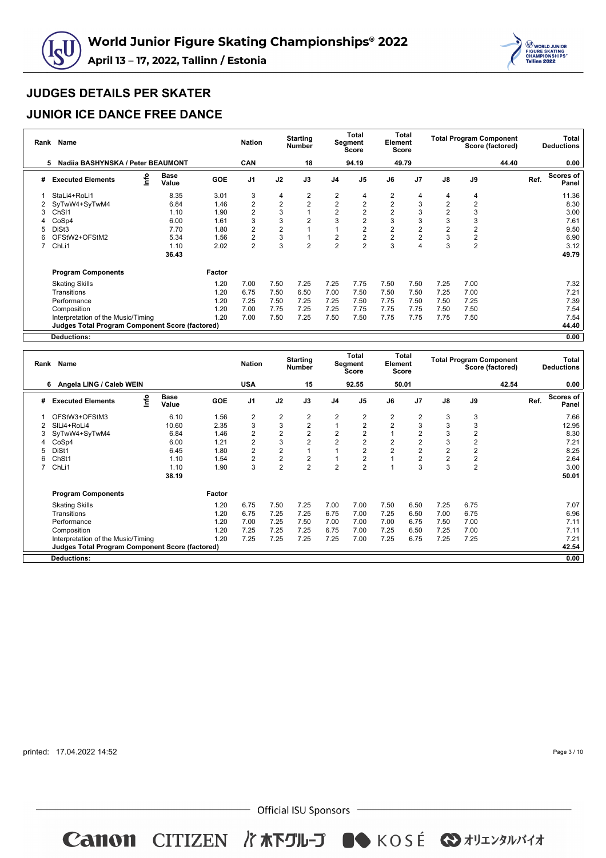



### **JUNIOR ICE DANCE FREE DANCE**

| Rank | <b>Name</b>                                            |      |                      |            | <b>Nation</b>           |                | <b>Starting</b><br><b>Number</b> |                | <b>Total</b><br>Segment<br><b>Score</b> | Element        | Total<br><b>Score</b> |                | <b>Total Program Component</b> | Score (factored) |      | Total<br><b>Deductions</b> |
|------|--------------------------------------------------------|------|----------------------|------------|-------------------------|----------------|----------------------------------|----------------|-----------------------------------------|----------------|-----------------------|----------------|--------------------------------|------------------|------|----------------------------|
|      | Nadija BASHYNSKA / Peter BEAUMONT<br>5.                |      |                      |            | CAN                     |                | 18                               |                | 94.19                                   |                | 49.79                 |                |                                | 44.40            |      | 0.00                       |
| #    | <b>Executed Elements</b>                               | lnfo | <b>Base</b><br>Value | <b>GOE</b> | J <sub>1</sub>          | J2             | J3                               | J <sub>4</sub> | J <sub>5</sub>                          | J6             | J <sub>7</sub>        | $\mathsf{J}8$  | J9                             |                  | Ref. | Scores of<br>Panel         |
|      | StaLi4+RoLi1                                           |      | 8.35                 | 3.01       | 3                       | 4              | 2                                | 2              | 4                                       | 2              | 4                     | 4              | 4                              |                  |      | 11.36                      |
| 2    | SyTwW4+SyTwM4                                          |      | 6.84                 | 1.46       | $\overline{2}$          | $\overline{2}$ | 2                                | $\sqrt{2}$     | 2                                       | $\overline{2}$ | 3                     | $\overline{2}$ | $\overline{2}$                 |                  |      | 8.30                       |
| 3    | ChS <sub>11</sub>                                      |      | 1.10                 | 1.90       | 2                       | 3              |                                  | $\overline{2}$ |                                         | $\overline{2}$ | 3                     | $\overline{2}$ | 3                              |                  |      | 3.00                       |
| 4    | CoSp4                                                  |      | 6.00                 | 1.61       | 3                       | 3              | $\overline{2}$                   | 3              |                                         | 3              | 3                     | 3              | 3                              |                  |      | 7.61                       |
| 5    | DiSt <sub>3</sub>                                      |      | 7.70                 | 1.80       | 2                       | $\overline{2}$ |                                  |                |                                         | 2              | 2                     | $\overline{2}$ | 2                              |                  |      | 9.50                       |
| 6    | OFStW2+OFStM2                                          |      | 5.34                 | 1.56       | $\overline{\mathbf{c}}$ | 3              |                                  | $\overline{2}$ |                                         | 2              | 2                     | 3              | $\overline{\mathbf{c}}$        |                  |      | 6.90                       |
|      | ChL <sub>i1</sub>                                      |      | 1.10                 | 2.02       | 2                       | 3              | $\overline{2}$                   | $\overline{2}$ | 2                                       | 3              | 4                     | 3              | $\overline{2}$                 |                  |      | 3.12                       |
|      |                                                        |      | 36.43                |            |                         |                |                                  |                |                                         |                |                       |                |                                |                  |      | 49.79                      |
|      | <b>Program Components</b>                              |      |                      | Factor     |                         |                |                                  |                |                                         |                |                       |                |                                |                  |      |                            |
|      | <b>Skating Skills</b>                                  |      |                      | 1.20       | 7.00                    | 7.50           | 7.25                             | 7.25           | 7.75                                    | 7.50           | 7.50                  | 7.25           | 7.00                           |                  |      | 7.32                       |
|      | Transitions                                            |      |                      | 1.20       | 6.75                    | 7.50           | 6.50                             | 7.00           | 7.50                                    | 7.50           | 7.50                  | 7.25           | 7.00                           |                  |      | 7.21                       |
|      | Performance                                            |      |                      | 1.20       | 7.25                    | 7.50           | 7.25                             | 7.25           | 7.50                                    | 7.75           | 7.50                  | 7.50           | 7.25                           |                  |      | 7.39                       |
|      | Composition                                            |      |                      | 1.20       | 7.00                    | 7.75           | 7.25                             | 7.25           | 7.75                                    | 7.75           | 7.75                  | 7.50           | 7.50                           |                  |      | 7.54                       |
|      | Interpretation of the Music/Timing                     |      |                      | 1.20       | 7.00                    | 7.50           | 7.25                             | 7.50           | 7.50                                    | 7.75           | 7.75                  | 7.75           | 7.50                           |                  |      | 7.54                       |
|      | <b>Judges Total Program Component Score (factored)</b> |      |                      |            |                         |                |                                  |                |                                         |                |                       |                |                                |                  |      | 44.40                      |
|      | <b>Deductions:</b>                                     |      |                      |            |                         |                |                                  |                |                                         |                |                       |                |                                |                  |      | 0.00                       |

**Rank Name Nation Starting Number Total Segment Score Total Element Score Total Program Component Score (factored) Total Deductions 6 Angela LING / Caleb WEIN USA 15 92.55 50.01 42.54 0.00 # Executed Elements Info Base Value GOE J1 J2 J3 J4 J5 J6 J7 J8 J9 Ref. Scores of Panel** 1 OFStW3+OFStM3 6.10 1.56 2 2 2 2 2 2 2 3 3 7.66 2 SlLi4+RoLi4 10.60 2.35 3 3 2 1 2 2 3 3 3 12.95 3 SyTwW4+SyTwM4 6.84 1.46 2 2 2 2 2 1 2 3 2 8.30 4 CoSp4 6.00 1.21 2 3 2 2 2 2 2 3 2 7.21 5 DiSt1 6.45 1.80 2 2 1 1 2 2 2 2 2 8.25 6 ChSt1 1.10 1.54 2 2 2 1 2 1 2 2 2 2.64 7 ChLi1 1.10 1.90 3 2 2 2 2 1 3 3 2 3.00 **38.19 50.01 Program Components Factor** Skating Skills 1.20 6.75 7.50 7.25 7.00 7.00 7.50 6.50 7.25 6.75 7.07 Transitions 1.20 6.75 7.25 7.25 6.75 7.00 7.25 6.50 7.00 6.75 6.96 Performance 1.20 7.00 7.25 7.50 7.00 7.00 7.00 6.75 7.50 7.00 7.11 Composition 1.20 7.25 7.25 7.25 6.75 7.00 7.25 6.50 7.25 7.00 7.11 Interpretation of the Music/Timing 1.20 7.25 7.25 7.25 7.25 7.00 7.25 6.75 7.25 7.25 7.21 **Judges Total Program Component Score (factored) 42.54 Deductions: 0.00**

printed: 17.04.2022 14:52

Page 3 / 10

- Official ISU Sponsors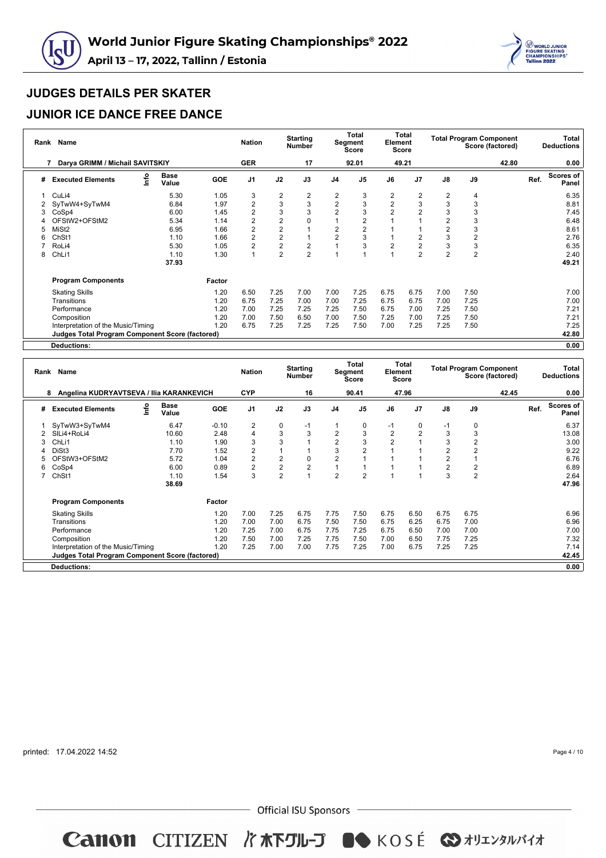



### **JUNIOR ICE DANCE FREE DANCE**

|   | Rank Name                                              |                      |            | <b>Nation</b>           |                | <b>Starting</b><br><b>Number</b> |                | Total<br>Segment<br><b>Score</b> | Element        | Total<br><b>Score</b> |                | <b>Total Program Component</b> | Score (factored) |      | Total<br><b>Deductions</b> |
|---|--------------------------------------------------------|----------------------|------------|-------------------------|----------------|----------------------------------|----------------|----------------------------------|----------------|-----------------------|----------------|--------------------------------|------------------|------|----------------------------|
|   | Darya GRIMM / Michail SAVITSKIY                        |                      |            | <b>GER</b>              |                | 17                               |                | 92.01                            |                | 49.21                 |                |                                | 42.80            |      | 0.00                       |
| # | lnfo<br><b>Executed Elements</b>                       | <b>Base</b><br>Value | <b>GOE</b> | J <sub>1</sub>          | J2             | J3                               | J <sub>4</sub> | J <sub>5</sub>                   | J6             | J <sub>7</sub>        | $\mathsf{J}8$  | J9                             |                  | Ref. | Scores of<br>Panel         |
|   | CuLi4                                                  | 5.30                 | 1.05       | 3                       | 2              | 2                                | 2              | 3                                | 2              | 2                     | 2              | 4                              |                  |      | 6.35                       |
| 2 | SyTwW4+SyTwM4                                          | 6.84                 | 1.97       | $\overline{\mathbf{c}}$ | 3              | 3                                | $\sqrt{2}$     | 3                                | 2              | 3                     | 3              | 3                              |                  |      | 8.81                       |
| 3 | CoSp4                                                  | 6.00                 | 1.45       | 2                       | 3              | 3                                | $\overline{2}$ | 3                                | $\overline{2}$ | 2                     | 3              | 3                              |                  |      | 7.45                       |
|   | OFStW2+OFStM2                                          | 5.34                 | 1.14       | 2                       | $\overline{2}$ | 0                                |                |                                  |                |                       | $\overline{2}$ | 3                              |                  |      | 6.48                       |
|   | MiSt <sub>2</sub>                                      | 6.95                 | 1.66       | $\overline{2}$          | $\overline{2}$ |                                  | $\overline{2}$ |                                  |                |                       | $\overline{2}$ | 3                              |                  |      | 8.61                       |
| ี | Ch <sub>St1</sub>                                      | 1.10                 | 1.66       | 2                       | $\overline{2}$ |                                  | $\overline{2}$ | 3                                |                | 2                     | 3              | $\overline{2}$                 |                  |      | 2.76                       |
|   | RoLi4                                                  | 5.30                 | 1.05       | 2                       | $\overline{2}$ | $\overline{2}$                   |                | 3                                | $\overline{2}$ | 2                     | 3              | 3                              |                  |      | 6.35                       |
| 8 | ChL <sub>i1</sub>                                      | 1.10                 | 1.30       | $\overline{1}$          | $\overline{2}$ | $\overline{2}$                   |                |                                  |                | $\overline{2}$        | $\overline{2}$ | $\overline{2}$                 |                  |      | 2.40                       |
|   |                                                        | 37.93                |            |                         |                |                                  |                |                                  |                |                       |                |                                |                  |      | 49.21                      |
|   | <b>Program Components</b>                              |                      | Factor     |                         |                |                                  |                |                                  |                |                       |                |                                |                  |      |                            |
|   | <b>Skating Skills</b>                                  |                      | 1.20       | 6.50                    | 7.25           | 7.00                             | 7.00           | 7.25                             | 6.75           | 6.75                  | 7.00           | 7.50                           |                  |      | 7.00                       |
|   | Transitions                                            |                      | 1.20       | 6.75                    | 7.25           | 7.00                             | 7.00           | 7.25                             | 6.75           | 6.75                  | 7.00           | 7.25                           |                  |      | 7.00                       |
|   | Performance                                            |                      | 1.20       | 7.00                    | 7.25           | 7.25                             | 7.25           | 7.50                             | 6.75           | 7.00                  | 7.25           | 7.50                           |                  |      | 7.21                       |
|   | Composition                                            |                      | 1.20       | 7.00                    | 7.50           | 6.50                             | 7.00           | 7.50                             | 7.25           | 7.00                  | 7.25           | 7.50                           |                  |      | 7.21                       |
|   | Interpretation of the Music/Timing                     |                      | 1.20       | 6.75                    | 7.25           | 7.25                             | 7.25           | 7.50                             | 7.00           | 7.25                  | 7.25           | 7.50                           |                  |      | 7.25                       |
|   | <b>Judges Total Program Component Score (factored)</b> |                      |            |                         |                |                                  |                |                                  |                |                       |                |                                |                  |      | 42.80                      |
|   | Deductions:                                            |                      |            |                         |                |                                  |                |                                  |                |                       |                |                                |                  |      | 0.00                       |

| Rank | <b>Name</b>                                            |      |                      |            | <b>Nation</b>  |                | <b>Starting</b><br><b>Number</b> |                | Total<br>Segment<br><b>Score</b> | Element        | Total<br>Score |                |                | <b>Total Program Component</b><br>Score (factored) |      | Total<br><b>Deductions</b> |
|------|--------------------------------------------------------|------|----------------------|------------|----------------|----------------|----------------------------------|----------------|----------------------------------|----------------|----------------|----------------|----------------|----------------------------------------------------|------|----------------------------|
|      | Angelina KUDRYAVTSEVA / Ilia KARANKEVICH<br>8          |      |                      |            | <b>CYP</b>     |                | 16                               |                | 90.41                            |                | 47.96          |                |                | 42.45                                              |      | 0.00                       |
| #    | <b>Executed Elements</b>                               | lnfo | <b>Base</b><br>Value | <b>GOE</b> | J <sub>1</sub> | J2             | J3                               | J <sub>4</sub> | J <sub>5</sub>                   | J6             | J7             | $\mathsf{J}8$  | J9             |                                                    | Ref. | Scores of<br>Panel         |
|      | SyTwW3+SyTwM4                                          |      | 6.47                 | $-0.10$    | $\overline{2}$ | $\mathbf 0$    | $-1$                             |                | 0                                | $-1$           | $\Omega$       | $-1$           | $\mathbf 0$    |                                                    |      | 6.37                       |
|      | SILi4+RoLi4                                            |      | 10.60                | 2.48       | 4              | 3              | 3                                | $\overline{2}$ | 3                                | $\overline{2}$ | $\overline{2}$ | 3              | 3              |                                                    |      | 13.08                      |
|      | ChL <sub>i1</sub>                                      |      | 1.10                 | 1.90       | 3              | 3              |                                  | $\overline{2}$ | 3                                | 2              |                | 3              | $\overline{2}$ |                                                    |      | 3.00                       |
|      | DiSt3                                                  |      | 7.70                 | 1.52       | $\overline{2}$ |                |                                  | 3              | $\overline{2}$                   |                |                | $\overline{2}$ |                |                                                    |      | 9.22                       |
|      | OFStW3+OFStM2                                          |      | 5.72                 | 1.04       | $\overline{2}$ | $\overline{2}$ | $\mathbf 0$                      | 2              |                                  |                |                | $\overline{2}$ |                |                                                    |      | 6.76                       |
| 6    | CoSp4                                                  |      | 6.00                 | 0.89       | 2              | $\overline{c}$ | $\overline{2}$                   |                |                                  |                |                | $\overline{2}$ | 2              |                                                    |      | 6.89                       |
|      | ChSt1                                                  |      | 1.10                 | 1.54       | 3              | $\overline{2}$ |                                  | 2              | $\overline{2}$                   |                |                | 3              | $\overline{2}$ |                                                    |      | 2.64                       |
|      |                                                        |      | 38.69                |            |                |                |                                  |                |                                  |                |                |                |                |                                                    |      | 47.96                      |
|      | <b>Program Components</b>                              |      |                      | Factor     |                |                |                                  |                |                                  |                |                |                |                |                                                    |      |                            |
|      | <b>Skating Skills</b>                                  |      |                      | 1.20       | 7.00           | 7.25           | 6.75                             | 7.75           | 7.50                             | 6.75           | 6.50           | 6.75           | 6.75           |                                                    |      | 6.96                       |
|      | Transitions                                            |      |                      | 1.20       | 7.00           | 7.00           | 6.75                             | 7.50           | 7.50                             | 6.75           | 6.25           | 6.75           | 7.00           |                                                    |      | 6.96                       |
|      | Performance                                            |      |                      | 1.20       | 7.25           | 7.00           | 6.75                             | 7.75           | 7.25                             | 6.75           | 6.50           | 7.00           | 7.00           |                                                    |      | 7.00                       |
|      | Composition                                            |      |                      | 1.20       | 7.50           | 7.00           | 7.25                             | 7.75           | 7.50                             | 7.00           | 6.50           | 7.75           | 7.25           |                                                    |      | 7.32                       |
|      | Interpretation of the Music/Timing                     |      |                      | 1.20       | 7.25           | 7.00           | 7.00                             | 7.75           | 7.25                             | 7.00           | 6.75           | 7.25           | 7.25           |                                                    |      | 7.14                       |
|      | <b>Judges Total Program Component Score (factored)</b> |      |                      |            |                |                |                                  |                |                                  |                |                |                |                |                                                    |      | 42.45                      |
|      | <b>Deductions:</b>                                     |      |                      |            |                |                |                                  |                |                                  |                |                |                |                |                                                    |      | 0.00                       |

printed: 17.04.2022 14:52

Page 4 / 10

 $-$  Official ISU Sponsors  $-$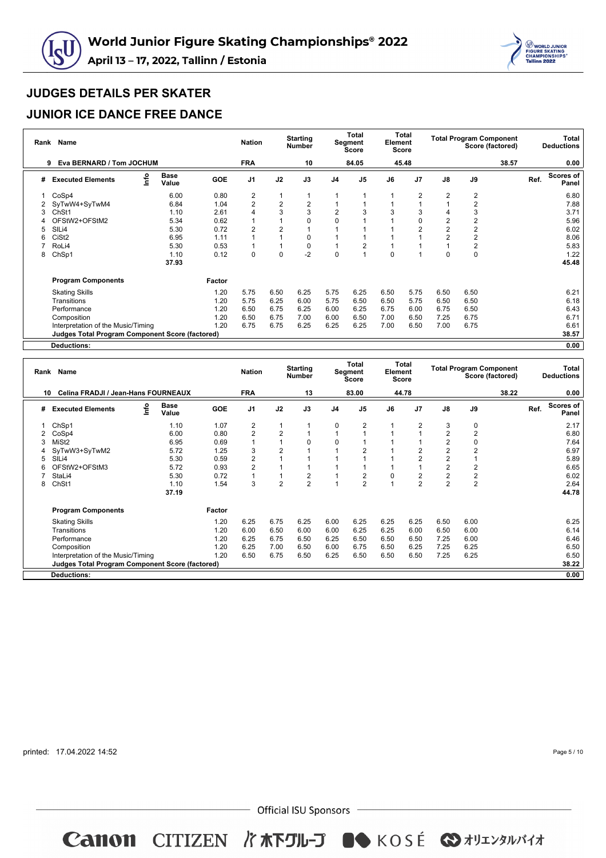



### **JUNIOR ICE DANCE FREE DANCE**

|   | Rank Name                                              |                      |            | <b>Nation</b>  |                | <b>Starting</b><br><b>Number</b> |                | Total<br>Segment<br><b>Score</b> | Element  | Total<br><b>Score</b> |                         | <b>Total Program Component</b> | Score (factored) |      | Total<br><b>Deductions</b> |
|---|--------------------------------------------------------|----------------------|------------|----------------|----------------|----------------------------------|----------------|----------------------------------|----------|-----------------------|-------------------------|--------------------------------|------------------|------|----------------------------|
|   | Eva BERNARD / Tom JOCHUM<br>9                          |                      |            | <b>FRA</b>     |                | 10                               |                | 84.05                            |          | 45.48                 |                         |                                | 38.57            |      | 0.00                       |
| # | lnfo<br><b>Executed Elements</b>                       | <b>Base</b><br>Value | <b>GOE</b> | J <sub>1</sub> | J2             | J3                               | J <sub>4</sub> | J <sub>5</sub>                   | J6       | J <sub>7</sub>        | $\mathsf{J}8$           | J9                             |                  | Ref. | <b>Scores of</b><br>Panel  |
|   | CoSp4                                                  | 6.00                 | 0.80       | 2              |                |                                  |                |                                  |          | 2                     | 2                       | $\overline{2}$                 |                  |      | 6.80                       |
| 2 | SyTwW4+SyTwM4                                          | 6.84                 | 1.04       | 2              | $\overline{2}$ | $\overline{2}$                   |                |                                  |          |                       |                         | $\overline{2}$                 |                  |      | 7.88                       |
| 3 | ChSt1                                                  | 1.10                 | 2.61       | 4              | 3              | 3                                | $\overline{2}$ |                                  | 3        | 3                     | 4                       | 3                              |                  |      | 3.71                       |
|   | OFStW2+OFStM2                                          | 5.34                 | 0.62       |                |                | $\Omega$                         | $\Omega$       |                                  |          | $\Omega$              | $\overline{\mathbf{c}}$ | $\overline{2}$                 |                  |      | 5.96                       |
| 5 | SIL <sub>i4</sub>                                      | 5.30                 | 0.72       | 2              | $\overline{2}$ |                                  |                |                                  |          | $\overline{2}$        | $\overline{2}$          | $\overline{2}$                 |                  |      | 6.02                       |
|   | CiSt <sub>2</sub>                                      | 6.95                 | 1.11       |                |                | $\Omega$                         |                |                                  |          |                       | $\overline{2}$          | $\overline{2}$                 |                  |      | 8.06                       |
|   | RoLi4                                                  | 5.30                 | 0.53       |                |                | $\mathbf 0$                      |                |                                  |          |                       |                         | $\overline{2}$                 |                  |      | 5.83                       |
| 8 | ChSp1                                                  | 1.10                 | 0.12       | $\mathbf 0$    | $\mathbf 0$    | $-2$                             | 0              |                                  | $\Omega$ |                       | 0                       | $\pmb{0}$                      |                  |      | 1.22                       |
|   |                                                        | 37.93                |            |                |                |                                  |                |                                  |          |                       |                         |                                |                  |      | 45.48                      |
|   | <b>Program Components</b>                              |                      | Factor     |                |                |                                  |                |                                  |          |                       |                         |                                |                  |      |                            |
|   | <b>Skating Skills</b>                                  |                      | 1.20       | 5.75           | 6.50           | 6.25                             | 5.75           | 6.25                             | 6.50     | 5.75                  | 6.50                    | 6.50                           |                  |      | 6.21                       |
|   | Transitions                                            |                      | 1.20       | 5.75           | 6.25           | 6.00                             | 5.75           | 6.50                             | 6.50     | 5.75                  | 6.50                    | 6.50                           |                  |      | 6.18                       |
|   | Performance                                            |                      | 1.20       | 6.50           | 6.75           | 6.25                             | 6.00           | 6.25                             | 6.75     | 6.00                  | 6.75                    | 6.50                           |                  |      | 6.43                       |
|   | Composition                                            |                      | 1.20       | 6.50           | 6.75           | 7.00                             | 6.00           | 6.50                             | 7.00     | 6.50                  | 7.25                    | 6.75                           |                  |      | 6.71                       |
|   | Interpretation of the Music/Timing                     |                      | 1.20       | 6.75           | 6.75           | 6.25                             | 6.25           | 6.25                             | 7.00     | 6.50                  | 7.00                    | 6.75                           |                  |      | 6.61                       |
|   | <b>Judges Total Program Component Score (factored)</b> |                      |            |                |                |                                  |                |                                  |          |                       |                         |                                |                  |      | 38.57                      |
|   | Deductions:                                            |                      |            |                |                |                                  |                |                                  |          |                       |                         |                                |                  |      | 0.00                       |

| Rank | <b>Name</b>                                            |                              |            | <b>Nation</b>  |                | <b>Starting</b><br><b>Number</b> |          | Total<br>Segment<br><b>Score</b> | Element  | Total<br><b>Score</b> |                         | <b>Total Program Component</b> | Score (factored) |      | Total<br><b>Deductions</b> |
|------|--------------------------------------------------------|------------------------------|------------|----------------|----------------|----------------------------------|----------|----------------------------------|----------|-----------------------|-------------------------|--------------------------------|------------------|------|----------------------------|
| 10   | Celina FRADJI / Jean-Hans FOURNEAUX                    |                              |            | <b>FRA</b>     |                | 13                               |          | 83.00                            |          | 44.78                 |                         |                                | 38.22            |      | 0.00                       |
| #    | <b>Executed Elements</b>                               | <b>Base</b><br>Info<br>Value | <b>GOE</b> | J <sub>1</sub> | J2             | J3                               | J4       | J <sub>5</sub>                   | J6       | J <sub>7</sub>        | J8                      | J9                             |                  | Ref. | <b>Scores of</b><br>Panel  |
|      | ChSp1                                                  | 1.10                         | 1.07       | 2              | 1              |                                  | 0        | 2                                |          | 2                     | 3                       | 0                              |                  |      | 2.17                       |
|      | CoSp4                                                  | 6.00                         | 0.80       | 2              | $\overline{2}$ |                                  |          |                                  |          |                       | $\overline{\mathbf{c}}$ | $\overline{2}$                 |                  |      | 6.80                       |
|      | MiSt <sub>2</sub>                                      | 6.95                         | 0.69       |                |                | $\Omega$                         | $\Omega$ |                                  |          |                       | $\overline{2}$          | 0                              |                  |      | 7.64                       |
|      | SyTwW3+SyTwM2                                          | 5.72                         | 1.25       | 3              | $\overline{2}$ |                                  |          | 2                                |          | 2                     | $\overline{2}$          | $\overline{2}$                 |                  |      | 6.97                       |
|      | SILi4                                                  | 5.30                         | 0.59       | $\overline{2}$ | 1              |                                  |          |                                  |          | $\overline{2}$        | $\overline{2}$          |                                |                  |      | 5.89                       |
| 6    | OFStW2+OFStM3                                          | 5.72                         | 0.93       | 2              |                |                                  |          |                                  |          |                       | $\overline{2}$          | 2                              |                  |      | 6.65                       |
|      | StaLi4                                                 | 5.30                         | 0.72       |                |                | 2                                |          | 2                                | $\Omega$ | $\overline{2}$        | $\overline{2}$          | $\overline{\mathbf{c}}$        |                  |      | 6.02                       |
| 8    | ChSt1                                                  | 1.10                         | 1.54       | 3              | $\overline{2}$ | $\overline{2}$                   |          | $\overline{2}$                   |          | $\overline{2}$        | $\overline{2}$          | $\overline{2}$                 |                  |      | 2.64                       |
|      |                                                        | 37.19                        |            |                |                |                                  |          |                                  |          |                       |                         |                                |                  |      | 44.78                      |
|      | <b>Program Components</b>                              |                              | Factor     |                |                |                                  |          |                                  |          |                       |                         |                                |                  |      |                            |
|      | <b>Skating Skills</b>                                  |                              | 1.20       | 6.25           | 6.75           | 6.25                             | 6.00     | 6.25                             | 6.25     | 6.25                  | 6.50                    | 6.00                           |                  |      | 6.25                       |
|      | Transitions                                            |                              | 1.20       | 6.00           | 6.50           | 6.00                             | 6.00     | 6.25                             | 6.25     | 6.00                  | 6.50                    | 6.00                           |                  |      | 6.14                       |
|      | Performance                                            |                              | 1.20       | 6.25           | 6.75           | 6.50                             | 6.25     | 6.50                             | 6.50     | 6.50                  | 7.25                    | 6.00                           |                  |      | 6.46                       |
|      | Composition                                            |                              | 1.20       | 6.25           | 7.00           | 6.50                             | 6.00     | 6.75                             | 6.50     | 6.25                  | 7.25                    | 6.25                           |                  |      | 6.50                       |
|      | Interpretation of the Music/Timing                     |                              | 1.20       | 6.50           | 6.75           | 6.50                             | 6.25     | 6.50                             | 6.50     | 6.50                  | 7.25                    | 6.25                           |                  |      | 6.50                       |
|      | <b>Judges Total Program Component Score (factored)</b> |                              |            |                |                |                                  |          |                                  |          |                       |                         |                                |                  |      | 38.22                      |
|      | Deductions:                                            |                              |            |                |                |                                  |          |                                  |          |                       |                         |                                |                  |      | 0.00                       |

printed: 17.04.2022 14:52

Page 5 / 10

 $-$  Official ISU Sponsors  $-$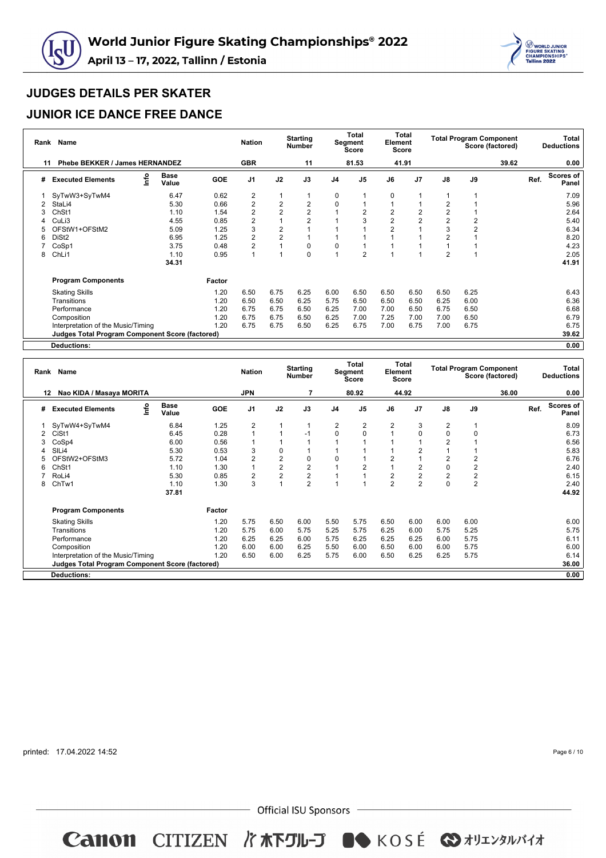



### **JUNIOR ICE DANCE FREE DANCE**

|                | Rank Name                                              |      |                      |            | <b>Nation</b>  |                | <b>Starting</b><br><b>Number</b> |                | <b>Total</b><br>Segment<br><b>Score</b> | Element | Total<br><b>Score</b> |                |                | <b>Total Program Component</b><br>Score (factored) |      | Total<br><b>Deductions</b> |
|----------------|--------------------------------------------------------|------|----------------------|------------|----------------|----------------|----------------------------------|----------------|-----------------------------------------|---------|-----------------------|----------------|----------------|----------------------------------------------------|------|----------------------------|
| 11             | Phebe BEKKER / James HERNANDEZ                         |      |                      |            | <b>GBR</b>     |                | 11                               |                | 81.53                                   |         | 41.91                 |                |                | 39.62                                              |      | 0.00                       |
| #              | <b>Executed Elements</b>                               | info | <b>Base</b><br>Value | <b>GOE</b> | J <sub>1</sub> | J2             | J3                               | J <sub>4</sub> | J <sub>5</sub>                          | J6      | J <sub>7</sub>        | $\mathsf{J}8$  | J9             |                                                    | Ref. | <b>Scores of</b><br>Panel  |
|                | SyTwW3+SyTwM4                                          |      | 6.47                 | 0.62       | 2              |                |                                  | 0              |                                         | 0       |                       |                |                |                                                    |      | 7.09                       |
| $\overline{2}$ | StaLi4                                                 |      | 5.30                 | 0.66       | $\overline{c}$ | $\overline{2}$ | $\overline{2}$                   | 0              |                                         |         |                       | $\overline{2}$ |                |                                                    |      | 5.96                       |
| 3              | ChSt1                                                  |      | 1.10                 | 1.54       | $\overline{c}$ | $\overline{2}$ | $\overline{2}$                   |                |                                         | 2       |                       | $\overline{2}$ |                |                                                    |      | 2.64                       |
|                | CuLi3                                                  |      | 4.55                 | 0.85       | 2              |                | 2                                |                |                                         | 2       | $\overline{2}$        | $\overline{2}$ | 2              |                                                    |      | 5.40                       |
|                | OFStW1+OFStM2                                          |      | 5.09                 | 1.25       | 3              | $\overline{2}$ |                                  |                |                                         |         |                       | 3              | $\overline{2}$ |                                                    |      | 6.34                       |
| 6              | DiSt <sub>2</sub>                                      |      | 6.95                 | 1.25       | $\overline{2}$ | $\overline{2}$ |                                  |                |                                         |         |                       | $\overline{2}$ |                |                                                    |      | 8.20                       |
|                | CoSp1                                                  |      | 3.75                 | 0.48       | $\overline{2}$ |                | 0                                | 0              |                                         |         |                       |                |                |                                                    |      | 4.23                       |
| 8              | ChL <sub>i1</sub>                                      |      | 1.10                 | 0.95       | 1              |                | 0                                |                | $\overline{2}$                          |         |                       | $\overline{2}$ |                |                                                    |      | 2.05                       |
|                |                                                        |      | 34.31                |            |                |                |                                  |                |                                         |         |                       |                |                |                                                    |      | 41.91                      |
|                | <b>Program Components</b>                              |      |                      | Factor     |                |                |                                  |                |                                         |         |                       |                |                |                                                    |      |                            |
|                | <b>Skating Skills</b>                                  |      |                      | 1.20       | 6.50           | 6.75           | 6.25                             | 6.00           | 6.50                                    | 6.50    | 6.50                  | 6.50           | 6.25           |                                                    |      | 6.43                       |
|                | Transitions                                            |      |                      | 1.20       | 6.50           | 6.50           | 6.25                             | 5.75           | 6.50                                    | 6.50    | 6.50                  | 6.25           | 6.00           |                                                    |      | 6.36                       |
|                | Performance                                            |      |                      | 1.20       | 6.75           | 6.75           | 6.50                             | 6.25           | 7.00                                    | 7.00    | 6.50                  | 6.75           | 6.50           |                                                    |      | 6.68                       |
|                | Composition                                            |      |                      | 1.20       | 6.75           | 6.75           | 6.50                             | 6.25           | 7.00                                    | 7.25    | 7.00                  | 7.00           | 6.50           |                                                    |      | 6.79                       |
|                | Interpretation of the Music/Timing                     |      |                      | 1.20       | 6.75           | 6.75           | 6.50                             | 6.25           | 6.75                                    | 7.00    | 6.75                  | 7.00           | 6.75           |                                                    |      | 6.75                       |
|                | <b>Judges Total Program Component Score (factored)</b> |      |                      |            |                |                |                                  |                |                                         |         |                       |                |                |                                                    |      | 39.62                      |
|                | Deductions:                                            |      |                      |            |                |                |                                  |                |                                         |         |                       |                |                |                                                    |      | 0.00                       |

| Rank | Name                                                   |      |                      |            | <b>Nation</b>  |                         | <b>Starting</b><br><b>Number</b> |                | Total<br>Segment<br><b>Score</b> | Element        | <b>Total</b><br><b>Score</b> |                |                         | <b>Total Program Component</b><br>Score (factored) |      | Total<br><b>Deductions</b> |
|------|--------------------------------------------------------|------|----------------------|------------|----------------|-------------------------|----------------------------------|----------------|----------------------------------|----------------|------------------------------|----------------|-------------------------|----------------------------------------------------|------|----------------------------|
|      | Nao KIDA / Masaya MORITA<br>12                         |      |                      |            | JPN            |                         |                                  |                | 80.92                            |                | 44.92                        |                |                         | 36.00                                              |      | 0.00                       |
| #    | <b>Executed Elements</b>                               | Info | <b>Base</b><br>Value | <b>GOE</b> | J <sub>1</sub> | J2                      | J3                               | J <sub>4</sub> | J <sub>5</sub>                   | J6             | J <sub>7</sub>               | $\mathsf{J}8$  | J9                      |                                                    | Ref. | <b>Scores of</b><br>Panel  |
|      | SyTwW4+SyTwM4                                          |      | 6.84                 | 1.25       | $\overline{2}$ |                         | 1                                | 2              | 2                                | $\overline{2}$ | 3                            | $\overline{2}$ |                         |                                                    |      | 8.09                       |
| 2    | CiSt1                                                  |      | 6.45                 | 0.28       |                |                         | $-1$                             | $\Omega$       | 0                                |                | 0                            | $\mathbf 0$    | $\Omega$                |                                                    |      | 6.73                       |
|      | CoSp4                                                  |      | 6.00                 | 0.56       |                |                         |                                  |                |                                  |                |                              | $\overline{2}$ |                         |                                                    |      | 6.56                       |
|      | SILi4                                                  |      | 5.30                 | 0.53       | 3              | 0                       |                                  |                |                                  |                | 2                            |                |                         |                                                    |      | 5.83                       |
| 5    | OFStW2+OFStM3                                          |      | 5.72                 | 1.04       | $\overline{2}$ | $\overline{\mathbf{c}}$ | 0                                | 0              |                                  | 2              |                              | $\overline{2}$ | 2                       |                                                    |      | 6.76                       |
| 6    | Ch <sub>St1</sub>                                      |      | 1.10                 | 1.30       |                | $\overline{2}$          | $\overline{c}$                   |                | $\overline{2}$                   |                | $\overline{2}$               | $\mathbf 0$    | 2                       |                                                    |      | 2.40                       |
|      | RoLi4                                                  |      | 5.30                 | 0.85       | 2              | $\overline{2}$          | $\overline{2}$                   |                |                                  | $\overline{2}$ | $\overline{2}$               | $\overline{2}$ | $\overline{\mathbf{c}}$ |                                                    |      | 6.15                       |
| 8    | ChTw1                                                  |      | 1.10                 | 1.30       | 3              | $\overline{A}$          | $\overline{2}$                   |                |                                  | $\overline{2}$ | $\overline{2}$               | $\mathbf 0$    | $\overline{2}$          |                                                    |      | 2.40                       |
|      |                                                        |      | 37.81                |            |                |                         |                                  |                |                                  |                |                              |                |                         |                                                    |      | 44.92                      |
|      | <b>Program Components</b>                              |      |                      | Factor     |                |                         |                                  |                |                                  |                |                              |                |                         |                                                    |      |                            |
|      | <b>Skating Skills</b>                                  |      |                      | 1.20       | 5.75           | 6.50                    | 6.00                             | 5.50           | 5.75                             | 6.50           | 6.00                         | 6.00           | 6.00                    |                                                    |      | 6.00                       |
|      | Transitions                                            |      |                      | 1.20       | 5.75           | 6.00                    | 5.75                             | 5.25           | 5.75                             | 6.25           | 6.00                         | 5.75           | 5.25                    |                                                    |      | 5.75                       |
|      | Performance                                            |      |                      | 1.20       | 6.25           | 6.25                    | 6.00                             | 5.75           | 6.25                             | 6.25           | 6.25                         | 6.00           | 5.75                    |                                                    |      | 6.11                       |
|      | Composition                                            |      |                      | 1.20       | 6.00           | 6.00                    | 6.25                             | 5.50           | 6.00                             | 6.50           | 6.00                         | 6.00           | 5.75                    |                                                    |      | 6.00                       |
|      | Interpretation of the Music/Timing                     |      |                      | 1.20       | 6.50           | 6.00                    | 6.25                             | 5.75           | 6.00                             | 6.50           | 6.25                         | 6.25           | 5.75                    |                                                    |      | 6.14                       |
|      | <b>Judges Total Program Component Score (factored)</b> |      |                      |            |                |                         |                                  |                |                                  |                |                              |                |                         |                                                    |      | 36.00                      |
|      | <b>Deductions:</b>                                     |      |                      |            |                |                         |                                  |                |                                  |                |                              |                |                         |                                                    |      | 0.00                       |

printed: 17.04.2022 14:52

Page 6 / 10

 $-$  Official ISU Sponsors  $-$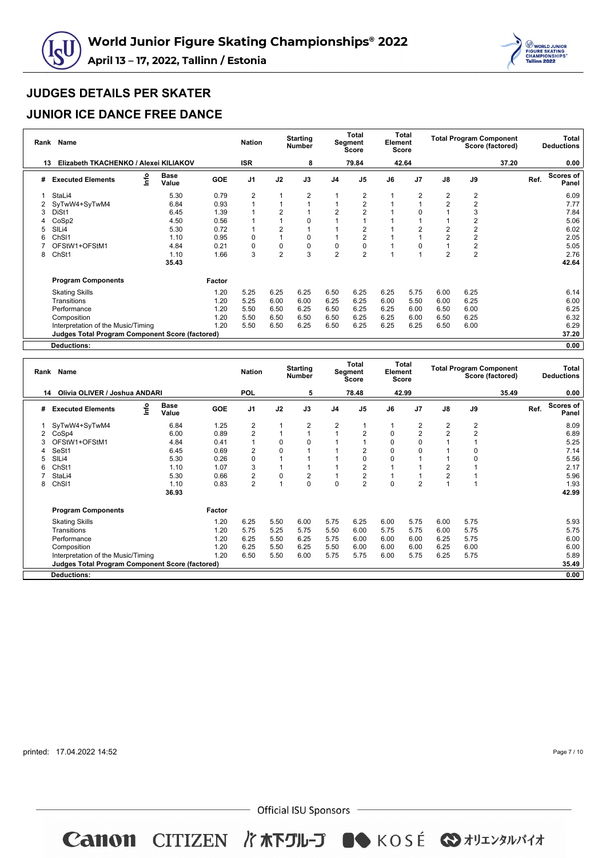



### **JUNIOR ICE DANCE FREE DANCE**

| Rank | <b>Name</b>                                            |                      |            | <b>Nation</b>  |                | <b>Starting</b><br><b>Number</b> |                | Total<br>Segment<br><b>Score</b> | Element | Total<br>Score |                | <b>Total Program Component</b> | Score (factored) |      | Total<br><b>Deductions</b> |
|------|--------------------------------------------------------|----------------------|------------|----------------|----------------|----------------------------------|----------------|----------------------------------|---------|----------------|----------------|--------------------------------|------------------|------|----------------------------|
| 13   | Elizabeth TKACHENKO / Alexei KILIAKOV                  |                      |            | <b>ISR</b>     |                | 8                                |                | 79.84                            |         | 42.64          |                |                                | 37.20            |      | 0.00                       |
| #    | lnfo<br><b>Executed Elements</b>                       | <b>Base</b><br>Value | <b>GOE</b> | J <sub>1</sub> | J2             | J3                               | J <sub>4</sub> | J <sub>5</sub>                   | J6      | J <sub>7</sub> | $\mathsf{J}8$  | J9                             |                  | Ref. | Scores of<br>Panel         |
|      | StaLi4                                                 | 5.30                 | 0.79       | 2              |                | 2                                |                | 2                                |         | 2              | 2              | $\overline{2}$                 |                  |      | 6.09                       |
| 2    | SyTwW4+SyTwM4                                          | 6.84                 | 0.93       |                |                |                                  |                | $\overline{2}$                   |         |                | $\overline{2}$ | $\overline{2}$                 |                  |      | 7.77                       |
| 3    | DiSt1                                                  | 6.45                 | 1.39       |                | $\overline{2}$ |                                  | $\overline{2}$ |                                  |         | $\Omega$       |                | 3                              |                  |      | 7.84                       |
|      | CoSp2                                                  | 4.50                 | 0.56       |                |                | 0                                |                |                                  |         |                |                | $\overline{2}$                 |                  |      | 5.06                       |
|      | SILi4                                                  | 5.30                 | 0.72       |                | $\overline{2}$ |                                  |                |                                  |         | $\overline{2}$ | $\overline{2}$ | 2                              |                  |      | 6.02                       |
|      | ChS <sub>11</sub>                                      | 1.10                 | 0.95       | 0              |                | 0                                |                |                                  |         |                | $\overline{2}$ | $\overline{2}$                 |                  |      | 2.05                       |
|      | OFStW1+OFStM1                                          | 4.84                 | 0.21       | 0              | $\mathbf 0$    | 0                                | 0              |                                  |         | $\Omega$       |                | $\mathbf 2$                    |                  |      | 5.05                       |
| 8    | ChSt1                                                  | 1.10                 | 1.66       | 3              | $\overline{2}$ | 3                                | $\overline{2}$ | $\overline{2}$                   |         |                | $\overline{2}$ | $\overline{c}$                 |                  |      | 2.76                       |
|      |                                                        | 35.43                |            |                |                |                                  |                |                                  |         |                |                |                                |                  |      | 42.64                      |
|      | <b>Program Components</b>                              |                      | Factor     |                |                |                                  |                |                                  |         |                |                |                                |                  |      |                            |
|      | <b>Skating Skills</b>                                  |                      | 1.20       | 5.25           | 6.25           | 6.25                             | 6.50           | 6.25                             | 6.25    | 5.75           | 6.00           | 6.25                           |                  |      | 6.14                       |
|      | Transitions                                            |                      | 1.20       | 5.25           | 6.00           | 6.00                             | 6.25           | 6.25                             | 6.00    | 5.50           | 6.00           | 6.25                           |                  |      | 6.00                       |
|      | Performance                                            |                      | 1.20       | 5.50           | 6.50           | 6.25                             | 6.50           | 6.25                             | 6.25    | 6.00           | 6.50           | 6.00                           |                  |      | 6.25                       |
|      | Composition                                            |                      | 1.20       | 5.50           | 6.50           | 6.50                             | 6.50           | 6.25                             | 6.25    | 6.00           | 6.50           | 6.25                           |                  |      | 6.32                       |
|      | Interpretation of the Music/Timing                     |                      | 1.20       | 5.50           | 6.50           | 6.25                             | 6.50           | 6.25                             | 6.25    | 6.25           | 6.50           | 6.00                           |                  |      | 6.29                       |
|      | <b>Judges Total Program Component Score (factored)</b> |                      |            |                |                |                                  |                |                                  |         |                |                |                                |                  |      | 37.20                      |
|      | <b>Deductions:</b>                                     |                      |            |                |                |                                  |                |                                  |         |                |                |                                |                  |      | 0.00                       |

|   | <b>Name</b><br>Rank                                    |      |                      |            |                |                | <b>Starting</b><br><b>Number</b> | Total<br>Segment<br><b>Score</b> |                | <b>Total</b><br>Element<br>Score |                | <b>Total Program Component</b><br>Score (factored) |                |  | Total<br><b>Deductions</b> |                           |
|---|--------------------------------------------------------|------|----------------------|------------|----------------|----------------|----------------------------------|----------------------------------|----------------|----------------------------------|----------------|----------------------------------------------------|----------------|--|----------------------------|---------------------------|
|   | Olivia OLIVER / Joshua ANDARI<br>14                    |      |                      | <b>POL</b> |                | 5              |                                  | 78.48                            |                | 42.99                            |                |                                                    | 35.49          |  | 0.00                       |                           |
| # | <b>Executed Elements</b>                               | lnfo | <b>Base</b><br>Value | <b>GOE</b> | J <sub>1</sub> | J2             | J3                               | J4                               | J <sub>5</sub> | J6                               | J <sub>7</sub> | J8                                                 | J9             |  | Ref.                       | <b>Scores of</b><br>Panel |
|   | SyTwW4+SyTwM4                                          |      | 6.84                 | 1.25       | 2              |                | 2                                | 2                                |                |                                  | 2              | $\overline{2}$                                     | 2              |  |                            | 8.09                      |
|   | CoSp4                                                  |      | 6.00                 | 0.89       | $\overline{2}$ |                | $\overline{1}$                   |                                  | $\overline{2}$ | 0                                | $\overline{2}$ | $\overline{2}$                                     | $\overline{2}$ |  |                            | 6.89                      |
|   | OFStW1+OFStM1                                          |      | 4.84                 | 0.41       |                | 0              | $\Omega$                         |                                  |                | $\Omega$                         | O              |                                                    |                |  |                            | 5.25                      |
|   | SeSt1                                                  |      | 6.45                 | 0.69       | 2              | 0              |                                  |                                  | $\overline{2}$ | $\Omega$                         | 0              |                                                    |                |  |                            | 7.14                      |
| 5 | SILi4                                                  |      | 5.30                 | 0.26       | 0              |                |                                  |                                  | 0              | 0                                |                |                                                    | 0              |  |                            | 5.56                      |
| 6 | Ch <sub>St1</sub>                                      |      | 1.10                 | 1.07       | 3              |                |                                  |                                  | $\overline{2}$ |                                  |                | $\overline{2}$                                     |                |  |                            | 2.17                      |
|   | StaLi4                                                 |      | 5.30                 | 0.66       | $\overline{2}$ | 0              | $\overline{2}$                   |                                  | $\overline{2}$ |                                  |                | $\overline{2}$                                     |                |  |                            | 5.96                      |
| 8 | ChSI1                                                  |      | 1.10                 | 0.83       | 2              | $\overline{A}$ | $\Omega$                         | $\Omega$                         | $\overline{2}$ | $\Omega$                         | $\overline{2}$ |                                                    |                |  |                            | 1.93                      |
|   |                                                        |      | 36.93                |            |                |                |                                  |                                  |                |                                  |                |                                                    |                |  |                            | 42.99                     |
|   | <b>Program Components</b>                              |      |                      | Factor     |                |                |                                  |                                  |                |                                  |                |                                                    |                |  |                            |                           |
|   | <b>Skating Skills</b>                                  |      |                      | 1.20       | 6.25           | 5.50           | 6.00                             | 5.75                             | 6.25           | 6.00                             | 5.75           | 6.00                                               | 5.75           |  |                            | 5.93                      |
|   | Transitions                                            |      |                      | 1.20       | 5.75           | 5.25           | 5.75                             | 5.50                             | 6.00           | 5.75                             | 5.75           | 6.00                                               | 5.75           |  |                            | 5.75                      |
|   | Performance                                            |      |                      | 1.20       | 6.25           | 5.50           | 6.25                             | 5.75                             | 6.00           | 6.00                             | 6.00           | 6.25                                               | 5.75           |  |                            | 6.00                      |
|   | Composition                                            |      |                      | 1.20       | 6.25           | 5.50           | 6.25                             | 5.50                             | 6.00           | 6.00                             | 6.00           | 6.25                                               | 6.00           |  |                            | 6.00                      |
|   | Interpretation of the Music/Timing                     |      |                      | 1.20       | 6.50           | 5.50           | 6.00                             | 5.75                             | 5.75           | 6.00                             | 5.75           | 6.25                                               | 5.75           |  |                            | 5.89                      |
|   | <b>Judges Total Program Component Score (factored)</b> |      |                      |            |                |                |                                  |                                  |                |                                  |                |                                                    |                |  |                            | 35.49                     |
|   | <b>Deductions:</b>                                     |      |                      |            |                |                |                                  |                                  |                |                                  |                |                                                    |                |  |                            | 0.00                      |

printed: 17.04.2022 14:52

Page 7 / 10

 $-$  Official ISU Sponsors  $-$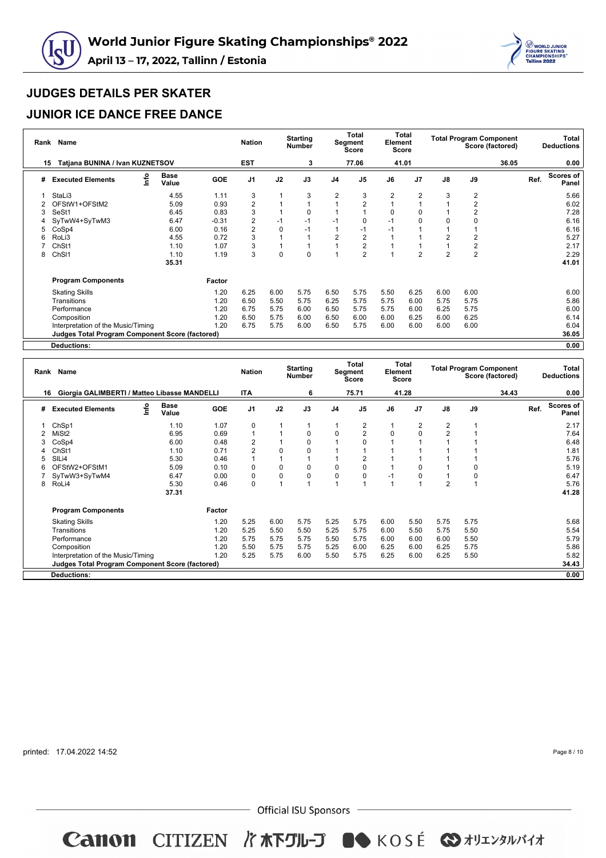



### **JUNIOR ICE DANCE FREE DANCE**

|    | Rank Name                                              | <b>Nation</b>        |            | <b>Starting</b><br><b>Number</b> |          | Total<br>Segment<br><b>Score</b> |                | Total<br>Element<br><b>Score</b> |      | <b>Total Program Component</b><br>Score (factored) |                |                  | Total<br><b>Deductions</b> |      |                    |
|----|--------------------------------------------------------|----------------------|------------|----------------------------------|----------|----------------------------------|----------------|----------------------------------|------|----------------------------------------------------|----------------|------------------|----------------------------|------|--------------------|
| 15 | Tatjana BUNINA / Ivan KUZNETSOV                        |                      |            | <b>EST</b>                       |          | 3                                |                | 77.06                            |      | 41.01                                              |                |                  | 36.05                      |      | 0.00               |
| #  | lnfo<br><b>Executed Elements</b>                       | <b>Base</b><br>Value | <b>GOE</b> | J <sub>1</sub>                   | J2       | J3                               | J <sub>4</sub> | J <sub>5</sub>                   | J6   | J <sub>7</sub>                                     | $\mathsf{J}8$  | J9               |                            | Ref. | Scores of<br>Panel |
|    | StaLi3                                                 | 4.55                 | 1.11       | 3                                |          | 3                                | 2              | 3                                | 2    | 2                                                  | 3              | $\overline{2}$   |                            |      | 5.66               |
|    | OFStW1+OFStM2                                          | 5.09                 | 0.93       | 2                                |          |                                  |                | $\overline{2}$                   |      |                                                    |                | $\overline{2}$   |                            |      | 6.02               |
| 3  | SeSt1                                                  | 6.45                 | 0.83       | 3                                |          | 0                                |                |                                  | O    | $\Omega$                                           |                | $\overline{2}$   |                            |      | 7.28               |
|    | SyTwW4+SyTwM3                                          | 6.47                 | $-0.31$    | 2                                | $-1$     | -1                               | $-1$           |                                  | $-1$ | $\Omega$                                           | 0              | 0                |                            |      | 6.16               |
| 5  | CoSp4                                                  | 6.00                 | 0.16       | $\overline{2}$                   | $\Omega$ | $-1$                             |                | -1                               | $-1$ |                                                    |                |                  |                            |      | 6.16               |
|    | RoLi3                                                  | 4.55                 | 0.72       | 3                                |          |                                  | $\overline{2}$ | $\overline{2}$                   |      |                                                    | $\overline{2}$ | 2                |                            |      | 5.27               |
|    | Ch <sub>St1</sub>                                      | 1.10                 | 1.07       | 3                                |          |                                  |                | $\overline{2}$                   |      |                                                    |                | $\boldsymbol{2}$ |                            |      | 2.17               |
| 8  | ChSI1                                                  | 1.10                 | 1.19       | 3                                | 0        | 0                                |                | $\overline{2}$                   |      | 2                                                  | $\overline{2}$ | $\overline{2}$   |                            |      | 2.29               |
|    |                                                        | 35.31                |            |                                  |          |                                  |                |                                  |      |                                                    |                |                  |                            |      | 41.01              |
|    | <b>Program Components</b>                              |                      | Factor     |                                  |          |                                  |                |                                  |      |                                                    |                |                  |                            |      |                    |
|    | <b>Skating Skills</b>                                  |                      | 1.20       | 6.25                             | 6.00     | 5.75                             | 6.50           | 5.75                             | 5.50 | 6.25                                               | 6.00           | 6.00             |                            |      | 6.00               |
|    | Transitions                                            |                      | 1.20       | 6.50                             | 5.50     | 5.75                             | 6.25           | 5.75                             | 5.75 | 6.00                                               | 5.75           | 5.75             |                            |      | 5.86               |
|    | Performance                                            |                      | 1.20       | 6.75                             | 5.75     | 6.00                             | 6.50           | 5.75                             | 5.75 | 6.00                                               | 6.25           | 5.75             |                            |      | 6.00               |
|    | Composition                                            |                      | 1.20       | 6.50                             | 5.75     | 6.00                             | 6.50           | 6.00                             | 6.00 | 6.25                                               | 6.00           | 6.25             |                            |      | 6.14               |
|    | Interpretation of the Music/Timing                     |                      | 1.20       | 6.75                             | 5.75     | 6.00                             | 6.50           | 5.75                             | 6.00 | 6.00                                               | 6.00           | 6.00             |                            |      | 6.04               |
|    | <b>Judges Total Program Component Score (factored)</b> |                      |            |                                  |          |                                  |                |                                  |      |                                                    |                |                  |                            |      | 36.05              |
|    | Deductions:                                            |                      |            |                                  |          |                                  |                |                                  |      |                                                    |                |                  |                            |      | 0.00               |

| Rank | Name                                                   |     |                      |        | <b>Nation</b>  |                | <b>Starting</b><br><b>Number</b> |                | Total<br>Segment<br>Score | Element | Total<br><b>Score</b> |                |      | <b>Total Program Component</b><br>Score (factored) |      | Total<br><b>Deductions</b> |
|------|--------------------------------------------------------|-----|----------------------|--------|----------------|----------------|----------------------------------|----------------|---------------------------|---------|-----------------------|----------------|------|----------------------------------------------------|------|----------------------------|
| 16   | Giorgia GALIMBERTI / Matteo Libasse MANDELLI           |     |                      |        | <b>ITA</b>     |                | 6                                |                | 75.71                     |         | 41.28                 |                |      | 34.43                                              |      | 0.00                       |
| #    | <b>Executed Elements</b>                               | r۴o | <b>Base</b><br>Value | GOE    | J <sub>1</sub> | J2             | J3                               | J <sub>4</sub> | J <sub>5</sub>            | J6      | J <sub>7</sub>        | $\mathsf{J}8$  | J9   |                                                    | Ref. | <b>Scores of</b><br>Panel  |
|      | ChSp1                                                  |     | 1.10                 | 1.07   | 0              |                | 1                                |                | 2                         |         | 2                     | $\overline{2}$ |      |                                                    |      | 2.17                       |
|      | MiSt <sub>2</sub>                                      |     | 6.95                 | 0.69   |                |                | 0                                | 0              | $\overline{2}$            | O       | 0                     | $\overline{2}$ |      |                                                    |      | 7.64                       |
|      | CoSp4                                                  |     | 6.00                 | 0.48   | 2              |                | 0                                |                | 0                         |         |                       |                |      |                                                    |      | 6.48                       |
| 4    | ChSt1                                                  |     | 1.10                 | 0.71   | $\overline{2}$ | $\Omega$       | 0                                |                |                           |         |                       |                |      |                                                    |      | 1.81                       |
| 5    | SILi4                                                  |     | 5.30                 | 0.46   |                |                |                                  |                | $\overline{2}$            |         |                       |                |      |                                                    |      | 5.76                       |
| 6    | OFStW2+OFStM1                                          |     | 5.09                 | 0.10   | $\Omega$       | $\mathbf 0$    | 0                                | 0              | 0                         |         | 0                     |                | 0    |                                                    |      | 5.19                       |
|      | SyTwW3+SyTwM4                                          |     | 6.47                 | 0.00   | 0              | 0              | $\mathbf 0$                      | 0              | $\mathbf 0$               | -1      | 0                     |                | 0    |                                                    |      | 6.47                       |
| 8    | RoLi4                                                  |     | 5.30                 | 0.46   | $\Omega$       | $\overline{A}$ | $\overline{A}$                   |                |                           |         |                       | $\overline{2}$ |      |                                                    |      | 5.76                       |
|      |                                                        |     | 37.31                |        |                |                |                                  |                |                           |         |                       |                |      |                                                    |      | 41.28                      |
|      | <b>Program Components</b>                              |     |                      | Factor |                |                |                                  |                |                           |         |                       |                |      |                                                    |      |                            |
|      | <b>Skating Skills</b>                                  |     |                      | 1.20   | 5.25           | 6.00           | 5.75                             | 5.25           | 5.75                      | 6.00    | 5.50                  | 5.75           | 5.75 |                                                    |      | 5.68                       |
|      | Transitions                                            |     |                      | 1.20   | 5.25           | 5.50           | 5.50                             | 5.25           | 5.75                      | 6.00    | 5.50                  | 5.75           | 5.50 |                                                    |      | 5.54                       |
|      | Performance                                            |     |                      | 1.20   | 5.75           | 5.75           | 5.75                             | 5.50           | 5.75                      | 6.00    | 6.00                  | 6.00           | 5.50 |                                                    |      | 5.79                       |
|      | Composition                                            |     |                      | 1.20   | 5.50           | 5.75           | 5.75                             | 5.25           | 6.00                      | 6.25    | 6.00                  | 6.25           | 5.75 |                                                    |      | 5.86                       |
|      | Interpretation of the Music/Timing                     |     |                      | 1.20   | 5.25           | 5.75           | 6.00                             | 5.50           | 5.75                      | 6.25    | 6.00                  | 6.25           | 5.50 |                                                    |      | 5.82                       |
|      | <b>Judges Total Program Component Score (factored)</b> |     |                      |        |                |                |                                  |                |                           |         |                       |                |      |                                                    |      | 34.43                      |
|      | Deductions:                                            |     |                      |        |                |                |                                  |                |                           |         |                       |                |      |                                                    |      | 0.00                       |

printed: 17.04.2022 14:52

Page 8 / 10

 $-$  Official ISU Sponsors  $-$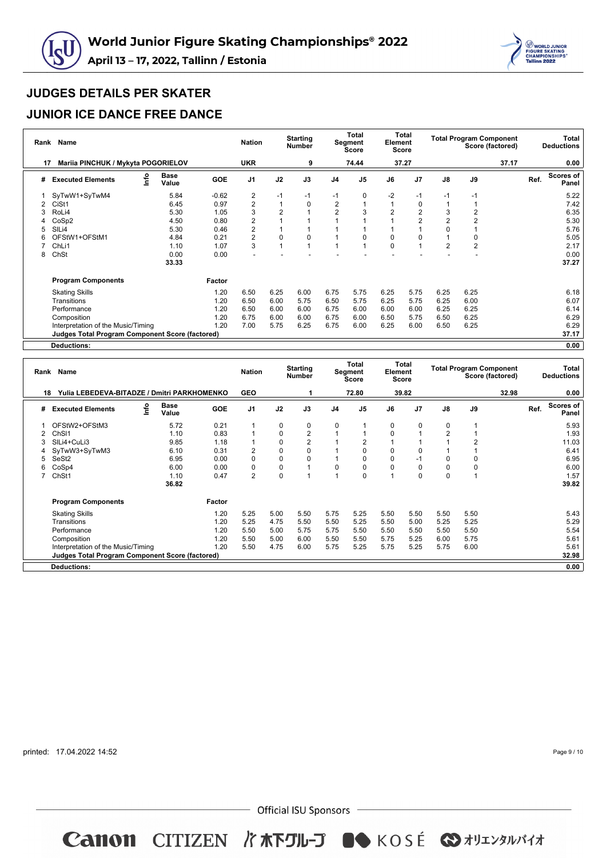



### **JUNIOR ICE DANCE FREE DANCE**

|    | Rank Name                                              |                      |            |                | <b>Starting</b><br><b>Number</b> |      | <b>Total</b><br>Segment<br><b>Score</b> |                | Total<br>Element<br>Score |                |                |                | <b>Total Program Component</b><br>Score (factored) | Total<br><b>Deductions</b> |                    |  |
|----|--------------------------------------------------------|----------------------|------------|----------------|----------------------------------|------|-----------------------------------------|----------------|---------------------------|----------------|----------------|----------------|----------------------------------------------------|----------------------------|--------------------|--|
| 17 | Mariia PINCHUK / Mykyta POGORIELOV                     |                      |            | <b>UKR</b>     |                                  | 9    |                                         | 74.44          |                           | 37.27          |                |                | 37.17                                              |                            | 0.00               |  |
| #  | lnfo<br><b>Executed Elements</b>                       | <b>Base</b><br>Value | <b>GOE</b> | J <sub>1</sub> | J2                               | J3   | J <sub>4</sub>                          | J <sub>5</sub> | J6                        | J <sub>7</sub> | J8             | J9             |                                                    | Ref.                       | Scores of<br>Panel |  |
|    | SyTwW1+SyTwM4                                          | 5.84                 | $-0.62$    | 2              | $-1$                             | $-1$ | -1                                      | 0              | $-2$                      | -1             | $-1$           | $-1$           |                                                    |                            | 5.22               |  |
| 2  | CiSt1                                                  | 6.45                 | 0.97       | 2              |                                  | 0    | 2                                       |                |                           | $\mathbf 0$    | 1              |                |                                                    |                            | 7.42               |  |
|    | RoLi4                                                  | 5.30                 | 1.05       | 3              | $\overline{2}$                   |      | $\overline{2}$                          |                |                           | $\overline{2}$ | 3              | $\overline{2}$ |                                                    |                            | 6.35               |  |
|    | CoSp2                                                  | 4.50                 | 0.80       | 2              |                                  |      |                                         |                |                           | $\overline{2}$ | $\overline{2}$ | 2              |                                                    |                            | 5.30               |  |
| 5  | SIL <sub>i4</sub>                                      | 5.30                 | 0.46       | 2              |                                  |      |                                         |                |                           |                | $\Omega$       |                |                                                    |                            | 5.76               |  |
|    | OFStW1+OFStM1                                          | 4.84                 | 0.21       | 2              | 0                                | 0    |                                         | 0              | $\Omega$                  |                |                | 0              |                                                    |                            | 5.05               |  |
|    | ChL <sub>i1</sub>                                      | 1.10                 | 1.07       | 3              |                                  |      |                                         |                | $\Omega$                  |                | $\overline{2}$ | $\overline{c}$ |                                                    |                            | 2.17               |  |
| 8  | ChSt                                                   | 0.00                 | 0.00       |                |                                  |      |                                         |                |                           |                |                |                |                                                    |                            | 0.00               |  |
|    |                                                        | 33.33                |            |                |                                  |      |                                         |                |                           |                |                |                |                                                    |                            | 37.27              |  |
|    | <b>Program Components</b>                              |                      | Factor     |                |                                  |      |                                         |                |                           |                |                |                |                                                    |                            |                    |  |
|    | <b>Skating Skills</b>                                  |                      | 1.20       | 6.50           | 6.25                             | 6.00 | 6.75                                    | 5.75           | 6.25                      | 5.75           | 6.25           | 6.25           |                                                    |                            | 6.18               |  |
|    | Transitions                                            |                      | 1.20       | 6.50           | 6.00                             | 5.75 | 6.50                                    | 5.75           | 6.25                      | 5.75           | 6.25           | 6.00           |                                                    |                            | 6.07               |  |
|    | Performance                                            |                      | 1.20       | 6.50           | 6.00                             | 6.00 | 6.75                                    | 6.00           | 6.00                      | 6.00           | 6.25           | 6.25           |                                                    |                            | 6.14               |  |
|    | Composition                                            |                      | 1.20       | 6.75           | 6.00                             | 6.00 | 6.75                                    | 6.00           | 6.50                      | 5.75           | 6.50           | 6.25           |                                                    |                            | 6.29               |  |
|    | Interpretation of the Music/Timing                     |                      | 1.20       | 7.00           | 5.75                             | 6.25 | 6.75                                    | 6.00           | 6.25                      | 6.00           | 6.50           | 6.25           |                                                    |                            | 6.29               |  |
|    | <b>Judges Total Program Component Score (factored)</b> |                      |            |                |                                  |      |                                         |                |                           |                |                |                |                                                    |                            | 37.17              |  |
|    | <b>Deductions:</b>                                     |                      |            |                |                                  |      |                                         |                |                           |                |                |                |                                                    |                            | 0.00               |  |

| Rank | Name                                                   | <b>Nation</b> |                      | <b>Starting</b><br><b>Number</b> | Total<br>Segment<br><b>Score</b> |             | Total<br>Element<br>Score |                | <b>Total Program Component</b><br>Score (factored) |          |          | Total<br><b>Deductions</b> |      |       |      |                    |
|------|--------------------------------------------------------|---------------|----------------------|----------------------------------|----------------------------------|-------------|---------------------------|----------------|----------------------------------------------------|----------|----------|----------------------------|------|-------|------|--------------------|
|      | Yulia LEBEDEVA-BITADZE / Dmitri PARKHOMENKO<br>18      |               |                      |                                  | <b>GEO</b>                       |             |                           |                | 72.80                                              |          | 39.82    |                            |      | 32.98 |      | 0.00               |
| #    | <b>Executed Elements</b>                               | lnfo          | <b>Base</b><br>Value | <b>GOE</b>                       | J <sub>1</sub>                   | J2          | J3                        | J <sub>4</sub> | J <sub>5</sub>                                     | J6       | J7       | $\mathsf{J}8$              | J9   |       | Ref. | Scores of<br>Panel |
|      | OFStW2+OFStM3                                          |               | 5.72                 | 0.21                             | 1                                | 0           | 0                         | 0              |                                                    | $\Omega$ | $\Omega$ | $\mathbf 0$                |      |       |      | 5.93               |
|      | Ch <sub>SI1</sub>                                      |               | 1.10                 | 0.83                             |                                  | 0           | $\overline{2}$            |                |                                                    | 0        |          | $\overline{2}$             |      |       |      | 1.93               |
|      | SILi4+CuLi3                                            |               | 9.85                 | 1.18                             |                                  | 0           | $\overline{2}$            |                |                                                    |          |          |                            |      |       |      | 11.03              |
|      | SyTwW3+SyTwM3                                          |               | 6.10                 | 0.31                             | 2                                | $\mathbf 0$ | $\mathbf 0$               |                | $\Omega$                                           | 0        | 0        |                            |      |       |      | 6.41               |
|      | SeSt2                                                  |               | 6.95                 | 0.00                             | 0                                | $\mathbf 0$ | $\mathbf 0$               |                | $\Omega$                                           | 0        | $-1$     | 0                          | 0    |       |      | 6.95               |
|      | CoSp4                                                  |               | 6.00                 | 0.00                             | $\Omega$                         | 0           |                           | $\Omega$       | $\Omega$                                           | 0        | 0        | $\mathbf 0$                | 0    |       |      | 6.00               |
|      | ChSt1                                                  |               | 1.10                 | 0.47                             | $\overline{2}$                   | 0           |                           |                | $\Omega$                                           |          | 0        | $\mathbf 0$                |      |       |      | 1.57               |
|      |                                                        |               | 36.82                |                                  |                                  |             |                           |                |                                                    |          |          |                            |      |       |      | 39.82              |
|      | <b>Program Components</b>                              |               |                      | Factor                           |                                  |             |                           |                |                                                    |          |          |                            |      |       |      |                    |
|      | <b>Skating Skills</b>                                  |               |                      | 1.20                             | 5.25                             | 5.00        | 5.50                      | 5.75           | 5.25                                               | 5.50     | 5.50     | 5.50                       | 5.50 |       |      | 5.43               |
|      | Transitions                                            |               |                      | 1.20                             | 5.25                             | 4.75        | 5.50                      | 5.50           | 5.25                                               | 5.50     | 5.00     | 5.25                       | 5.25 |       |      | 5.29               |
|      | Performance                                            |               |                      | 1.20                             | 5.50                             | 5.00        | 5.75                      | 5.75           | 5.50                                               | 5.50     | 5.50     | 5.50                       | 5.50 |       |      | 5.54               |
|      | Composition                                            |               |                      | 1.20                             | 5.50                             | 5.00        | 6.00                      | 5.50           | 5.50                                               | 5.75     | 5.25     | 6.00                       | 5.75 |       |      | 5.61               |
|      | Interpretation of the Music/Timing                     |               |                      | 1.20                             | 5.50                             | 4.75        | 6.00                      | 5.75           | 5.25                                               | 5.75     | 5.25     | 5.75                       | 6.00 |       |      | 5.61               |
|      | <b>Judges Total Program Component Score (factored)</b> |               |                      |                                  |                                  |             |                           |                |                                                    |          |          |                            |      |       |      | 32.98              |
|      | <b>Deductions:</b>                                     |               |                      |                                  |                                  |             |                           |                |                                                    |          |          |                            |      |       |      | 0.00               |

printed: 17.04.2022 14:52

Page 9 / 10

 $-$  Official ISU Sponsors  $-$